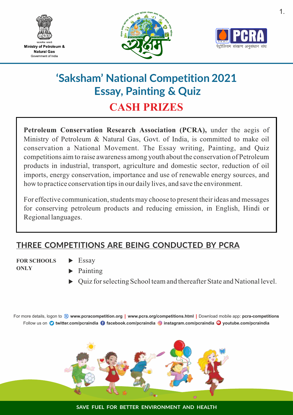

Ministry of Petroleum & **Natural Gas** Government of India





# **'Saksham' National Competition 2021 Essay, Painting & Quiz CASH PRIZES**

**Petroleum Conservation Research Association (PCRA),** under the aegis of Ministry of Petroleum & Natural Gas, Govt. of India, is committed to make oil conservation a National Movement. The Essay writing, Painting, and Quiz competitions aim to raise awareness among youth about the conservation of Petroleum products in industrial, transport, agriculture and domestic sector, reduction of oil imports, energy conservation, importance and use of renewable energy sources, and how to practice conservation tips in our daily lives, and save the environment.

For effective communication, students may choose to present their ideas and messages for conserving petroleum products and reducing emission, in English, Hindi or Regional languages.

### **THREE COMPETITIONS ARE BEING CONDUCTED BY PCRA**

**FOR SCHOOLS ONLY**

- Essay
- Painting
- $\triangleright$  Quiz for selecting School team and thereafter State and National level.

Follow us on **twitter.com/pcraindia facebook.com/pcraindia instagram.com/pcraindia youtube.com/pcraindia** For more details, logon to **www.pcracompetition.org www.pcra.org/competitions.html** Download mobile app: **pcra-competitions**



**SAVE FUEL FOR BETTER ENVIRONMENT AND HEALTH**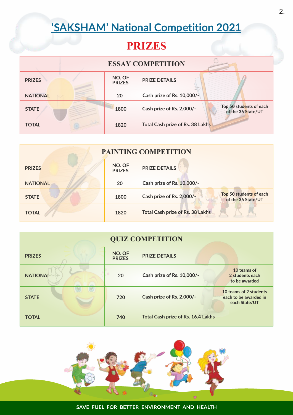# **'SAKSHAM' National Competition 2021**

## **PRIZES**

| <b>ESSAY COMPETITION</b> |                         |                                  |                                               |  |  |
|--------------------------|-------------------------|----------------------------------|-----------------------------------------------|--|--|
| <b>PRIZES</b>            | NO. OF<br><b>PRIZES</b> | <b>PRIZE DETAILS</b>             |                                               |  |  |
| <b>NATIONAL</b>          | 20                      | Cash prize of Rs. 10,000/-       |                                               |  |  |
| <b>STATE</b>             | 1800                    | Cash prize of Rs. 2,000/-        | Top 50 students of each<br>of the 36 State/UT |  |  |
| <b>TOTAL</b>             | 1820                    | Total Cash prize of Rs. 38 Lakhs |                                               |  |  |

| PAINTING COMPETITION |                         |                                         |                                               |  |  |
|----------------------|-------------------------|-----------------------------------------|-----------------------------------------------|--|--|
| <b>PRIZES</b>        | NO. OF<br><b>PRIZES</b> | <b>PRIZE DETAILS</b>                    |                                               |  |  |
| <b>NATIONAL</b>      | 20                      | Cash prize of Rs. 10,000/-              |                                               |  |  |
| <b>STATE</b>         | 1800                    | Cash prize of Rs. 2,000/-               | Top 50 students of each<br>of the 36 State/UT |  |  |
| <b>TOTAL</b>         | 1820                    | <b>Total Cash prize of Rs. 38 Lakhs</b> |                                               |  |  |

| <b>QUIZ COMPETITION</b> |                         |                                           |                                                                  |  |  |
|-------------------------|-------------------------|-------------------------------------------|------------------------------------------------------------------|--|--|
| <b>PRIZES</b>           | NO. OF<br><b>PRIZES</b> | <b>PRIZE DETAILS</b>                      |                                                                  |  |  |
| <b>NATIONAL</b>         | 20                      | Cash prize of Rs. 10,000/-                | 10 teams of<br>2 students each<br>to be awarded                  |  |  |
| <b>STATE</b>            | 720                     | Cash prize of Rs. 2,000/-                 | 10 teams of 2 students<br>each to be awarded in<br>each State/UT |  |  |
| <b>TOTAL</b>            | 740                     | <b>Total Cash prize of Rs. 16.4 Lakhs</b> |                                                                  |  |  |

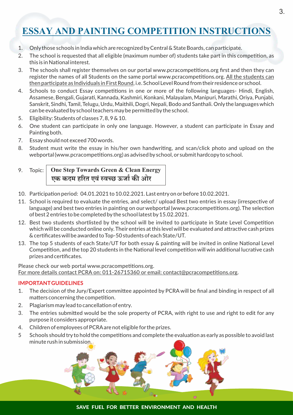### **ESSAY AND PAINTING COMPETITION INSTRUCTIONS**

- 1. Onlythose schools in India which are recognized byCentral & State Boards, can parcipate.
- 2. The school is requested that all eligible (maximum number of) students take part in this competition, as this is in National interest.
- 3. The schools shall register themselves on our portal www.pcracompetitions.org first and then they can register the names of all Students on the same portal www.pcracompetitions.org. All the students can then participate as Individuals in First Round, i.e. School Level Round from their residence or school.
- 4. Schools to conduct Essay competitions in one or more of the following languages- Hindi, English, Assamese, Bengali, Gujarati, Kannada, Kashmiri, Konkani, Malayalam, Manipuri, Marathi, Oriya, Punjabi, Sanskrit, Sindhi, Tamil, Telugu, Urdu, Maithili, Dogri, Nepali, Bodo and Santhali. Only the languages which can be evaluated by school teachers may be permitted by the school.
- 5. Eligibility: Students of classes 7, 8, 9 & 10.
- 6. One student can participate in only one language. However, a student can participate in Essay and Painting both.
- 7. Essay should not exceed 700 words.
- 8. Student must write the essay in his/her own handwriting, and scan/click photo and upload on the webportal (www.pcracompetitions.org) as advised by school, or submit hardcopy to school.

#### 9. Topic: **One Step Towards Green & Clean Energy एक कदम हरत एव वछ ऊजा ं क ओर**

- 10. Participation period: 04.01.2021 to 10.02.2021. Last entry on or before 10.02.2021.
- 11. School is required to evaluate the entries, and select/ upload Best two entries in essay (irrespective of language) and best two entries in painting on our webportal (www.pcracompetitions.org). The selection ofbest 2 entries to be completed bythe school latest by15.02.2021.
- 12. Best two students shortlisted by the school will be invited to participate in State Level Competition which will be conducted online only. Their entries at this level will be evaluated and attractive cash prizes & cerficates will be awarded to Top-50 students of each State/UT.
- 13. The top 5 students of each State/UT for both essay & painting will be invited in online National Level Competition, and the top 20 students in the National level competition will win additional lucrative cash prizes and cerficates.

Please check our web portal www.pcracompetitions.org. For more details contact PCRA on:  $011-26715360$  or email: contact@pcracompetitions.org.

#### **IMPORTANTGUIDELINES**

- 1. The decision of the Jury/Expert committee appointed by PCRA will be final and binding in respect of all matters concerning the competition.
- 2. Plagiarism may lead to cancellation of entry.
- 3. The entries submitted would be the sole property of PCRA, with right to use and right to edit for any purpose it considers appropriate.
- 4. Children of employees of PCRA are not eligible for the prizes.
- 5 Schools should try to hold the competitions and complete the evaluation as early as possible to avoid last minute rush in submission.